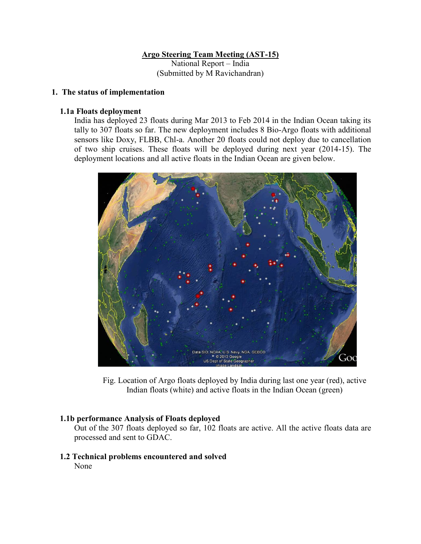### **Argo Steering Team Meeting (AST-15)**

National Report – India (Submitted by M Ravichandran)

#### **1. The status of implementation**

#### **1.1a Floats deployment**

India has deployed 23 floats during Mar 2013 to Feb 2014 in the Indian Ocean taking its tally to 307 floats so far. The new deployment includes 8 Bio-Argo floats with additional sensors like Doxy, FLBB, Chl-a. Another 20 floats could not deploy due to cancellation of two ship cruises. These floats will be deployed during next year (2014-15). The deployment locations and all active floats in the Indian Ocean are given below.



Fig. Location of Argo floats deployed by India during last one year (red), active Indian floats (white) and active floats in the Indian Ocean (green)

#### **1.1b performance Analysis of Floats deployed**

Out of the 307 floats deployed so far, 102 floats are active. All the active floats data are processed and sent to GDAC.

 **1.2 Technical problems encountered and solved** None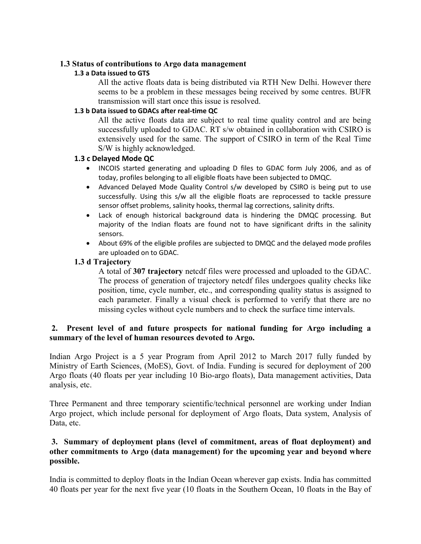#### **1.3 Status of contributions to Argo data management**

#### **1.3 a Data issued to GTS**

All the active floats data is being distributed via RTH New Delhi. However there seems to be a problem in these messages being received by some centres. BUFR transmission will start once this issue is resolved.

#### **1.3 b Data issued to GDACs after real-time QC**

All the active floats data are subject to real time quality control and are being successfully uploaded to GDAC. RT s/w obtained in collaboration with CSIRO is extensively used for the same. The support of CSIRO in term of the Real Time S/W is highly acknowledged.

### **1.3 c Delayed Mode QC**

- INCOIS started generating and uploading D files to GDAC form July 2006, and as of today, profiles belonging to all eligible floats have been subjected to DMQC.
- Advanced Delayed Mode Quality Control s/w developed by CSIRO is being put to use successfully. Using this s/w all the eligible floats are reprocessed to tackle pressure sensor offset problems, salinity hooks, thermal lag corrections, salinity drifts.
- Lack of enough historical background data is hindering the DMQC processing. But majority of the Indian floats are found not to have significant drifts in the salinity sensors.
- About 69% of the eligible profiles are subjected to DMQC and the delayed mode profiles are uploaded on to GDAC.

### **1.3 d Trajectory**

A total of **307 trajectory** netcdf files were processed and uploaded to the GDAC. The process of generation of trajectory netcdf files undergoes quality checks like position, time, cycle number, etc., and corresponding quality status is assigned to each parameter. Finally a visual check is performed to verify that there are no missing cycles without cycle numbers and to check the surface time intervals.

# **2. Present level of and future prospects for national funding for Argo including a summary of the level of human resources devoted to Argo.**

Indian Argo Project is a 5 year Program from April 2012 to March 2017 fully funded by Ministry of Earth Sciences, (MoES), Govt. of India. Funding is secured for deployment of 200 Argo floats (40 floats per year including 10 Bio-argo floats), Data management activities, Data analysis, etc.

Three Permanent and three temporary scientific/technical personnel are working under Indian Argo project, which include personal for deployment of Argo floats, Data system, Analysis of Data, etc.

# **3. Summary of deployment plans (level of commitment, areas of float deployment) and other commitments to Argo (data management) for the upcoming year and beyond where possible.**

India is committed to deploy floats in the Indian Ocean wherever gap exists. India has committed 40 floats per year for the next five year (10 floats in the Southern Ocean, 10 floats in the Bay of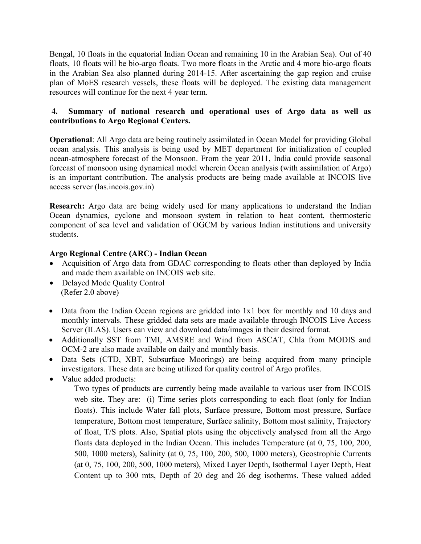Bengal, 10 floats in the equatorial Indian Ocean and remaining 10 in the Arabian Sea). Out of 40 floats, 10 floats will be bio-argo floats. Two more floats in the Arctic and 4 more bio-argo floats in the Arabian Sea also planned during 2014-15. After ascertaining the gap region and cruise plan of MoES research vessels, these floats will be deployed. The existing data management resources will continue for the next 4 year term.

# **4. Summary of national research and operational uses of Argo data as well as contributions to Argo Regional Centers.**

**Operational**: All Argo data are being routinely assimilated in Ocean Model for providing Global ocean analysis. This analysis is being used by MET department for initialization of coupled ocean-atmosphere forecast of the Monsoon. From the year 2011, India could provide seasonal forecast of monsoon using dynamical model wherein Ocean analysis (with assimilation of Argo) is an important contribution. The analysis products are being made available at INCOIS live access server (las.incois.gov.in)

**Research:** Argo data are being widely used for many applications to understand the Indian Ocean dynamics, cyclone and monsoon system in relation to heat content, thermosteric component of sea level and validation of OGCM by various Indian institutions and university students.

# **Argo Regional Centre (ARC) - Indian Ocean**

- Acquisition of Argo data from GDAC corresponding to floats other than deployed by India and made them available on INCOIS web site.
- Delayed Mode Quality Control (Refer 2.0 above)
- Data from the Indian Ocean regions are gridded into 1x1 box for monthly and 10 days and monthly intervals. These gridded data sets are made available through INCOIS Live Access Server (ILAS). Users can view and download data/images in their desired format.
- Additionally SST from TMI, AMSRE and Wind from ASCAT, Chla from MODIS and OCM-2 are also made available on daily and monthly basis.
- Data Sets (CTD, XBT, Subsurface Moorings) are being acquired from many principle investigators. These data are being utilized for quality control of Argo profiles.
- Value added products:

Two types of products are currently being made available to various user from INCOIS web site. They are: (i) Time series plots corresponding to each float (only for Indian floats). This include Water fall plots, Surface pressure, Bottom most pressure, Surface temperature, Bottom most temperature, Surface salinity, Bottom most salinity, Trajectory of float, T/S plots. Also, Spatial plots using the objectively analysed from all the Argo floats data deployed in the Indian Ocean. This includes Temperature (at 0, 75, 100, 200, 500, 1000 meters), Salinity (at 0, 75, 100, 200, 500, 1000 meters), Geostrophic Currents (at 0, 75, 100, 200, 500, 1000 meters), Mixed Layer Depth, Isothermal Layer Depth, Heat Content up to 300 mts, Depth of 20 deg and 26 deg isotherms. These valued added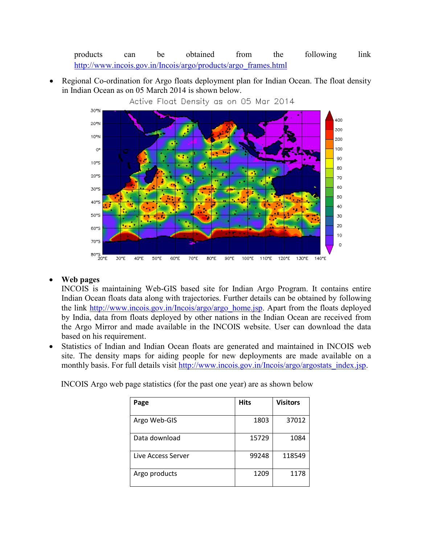products can be obtained from the following link [http://www.incois.gov.in/Incois/argo/products/argo\\_frames.html](http://www.incois.gov.in/Incois/argo/products/argo_frames.html)

 Regional Co-ordination for Argo floats deployment plan for Indian Ocean. The float density in Indian Ocean as on 05 March 2014 is shown below.



Active Float Density as on 05 Mar 2014

# **Web pages**

INCOIS is maintaining Web-GIS based site for Indian Argo Program. It contains entire Indian Ocean floats data along with trajectories. Further details can be obtained by following the link [http://www.incois.gov.in/Incois/argo/argo\\_home.jsp.](http://www.incois.gov.in/Incois/argo/argo_home.jsp) Apart from the floats deployed by India, data from floats deployed by other nations in the Indian Ocean are received from the Argo Mirror and made available in the INCOIS website. User can download the data based on his requirement.

 Statistics of Indian and Indian Ocean floats are generated and maintained in INCOIS web site. The density maps for aiding people for new deployments are made available on a monthly basis. For full details visit [http://www.incois.gov.in/Incois/argo/argostats\\_index.jsp.](http://www.incois.gov.in/Incois/argo/argostats_index.jsp)

INCOIS Argo web page statistics (for the past one year) are as shown below

| Page               | <b>Hits</b> | <b>Visitors</b> |
|--------------------|-------------|-----------------|
| Argo Web-GIS       | 1803        | 37012           |
| Data download      | 15729       | 1084            |
| Live Access Server | 99248       | 118549          |
| Argo products      | 1209        | 1178            |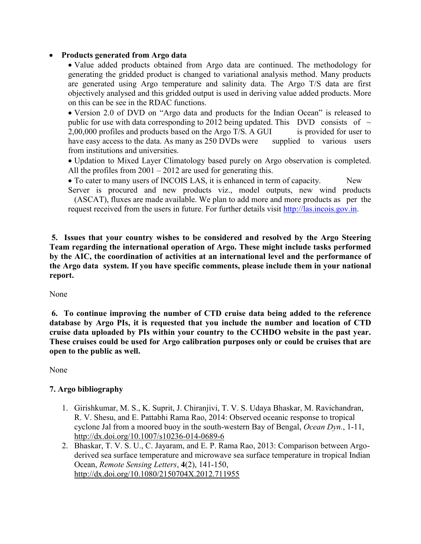# **Products generated from Argo data**

• Value added products obtained from Argo data are continued. The methodology for generating the gridded product is changed to variational analysis method. Many products are generated using Argo temperature and salinity data. The Argo T/S data are first objectively analysed and this gridded output is used in deriving value added products. More on this can be see in the RDAC functions.

 Version 2.0 of DVD on "Argo data and products for the Indian Ocean" is released to public for use with data corresponding to 2012 being updated. This DVD consists of  $\sim$ 2,00,000 profiles and products based on the Argo T/S. A GUI is provided for user to have easy access to the data. As many as 250 DVDs were supplied to various users from institutions and universities.

 Updation to Mixed Layer Climatology based purely on Argo observation is completed. All the profiles from  $2001 - 2012$  are used for generating this.

• To cater to many users of INCOIS LAS, it is enhanced in term of capacity. New

Server is procured and new products viz., model outputs, new wind products (ASCAT), fluxes are made available. We plan to add more and more products as per the request received from the users in future. For further details visit [http://las.incois.gov.in.](http://las.incois.gov.in/)

**5. Issues that your country wishes to be considered and resolved by the Argo Steering Team regarding the international operation of Argo. These might include tasks performed by the AIC, the coordination of activities at an international level and the performance of the Argo data system. If you have specific comments, please include them in your national report.**

None

**6. To continue improving the number of CTD cruise data being added to the reference database by Argo PIs, it is requested that you include the number and location of CTD cruise data uploaded by PIs within your country to the CCHDO website in the past year. These cruises could be used for Argo calibration purposes only or could be cruises that are open to the public as well.**

None

# **7. Argo bibliography**

- 1. Girishkumar, M. S., K. Suprit, J. Chiranjivi, T. V. S. Udaya Bhaskar, M. Ravichandran, R. V. Shesu, and E. Pattabhi Rama Rao, 2014: Observed oceanic response to tropical cyclone Jal from a moored buoy in the south-western Bay of Bengal, *Ocean Dyn.*, 1-11, <http://dx.doi.org/10.1007/s10236-014-0689-6>
- 2. Bhaskar, T. V. S. U., C. Jayaram, and E. P. Rama Rao, 2013: Comparison between Argoderived sea surface temperature and microwave sea surface temperature in tropical Indian Ocean, *Remote Sensing Letters*, **4**(2), 141-150, <http://dx.doi.org/10.1080/2150704X.2012.711955>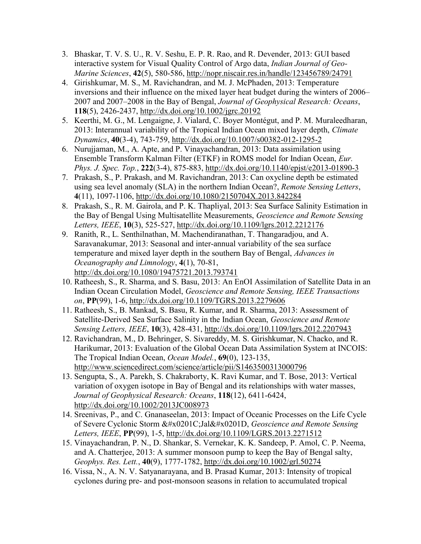- 3. Bhaskar, T. V. S. U., R. V. Seshu, E. P. R. Rao, and R. Devender, 2013: GUI based interactive system for Visual Quality Control of Argo data, *Indian Journal of Geo-Marine Sciences*, **42**(5), 580-586,<http://nopr.niscair.res.in/handle/123456789/24791>
- 4. Girishkumar, M. S., M. Ravichandran, and M. J. McPhaden, 2013: Temperature inversions and their influence on the mixed layer heat budget during the winters of 2006– 2007 and 2007–2008 in the Bay of Bengal, *Journal of Geophysical Research: Oceans*, **118**(5), 2426-2437,<http://dx.doi.org/10.1002/jgrc.20192>
- 5. Keerthi, M. G., M. Lengaigne, J. Vialard, C. Boyer Montégut, and P. M. Muraleedharan, 2013: Interannual variability of the Tropical Indian Ocean mixed layer depth, *Climate Dynamics*, **40**(3-4), 743-759,<http://dx.doi.org/10.1007/s00382-012-1295-2>
- 6. Nurujjaman, M., A. Apte, and P. Vinayachandran, 2013: Data assimilation using Ensemble Transform Kalman Filter (ETKF) in ROMS model for Indian Ocean, *Eur. Phys. J. Spec. Top.*, **222**(3-4), 875-883,<http://dx.doi.org/10.1140/epjst/e2013-01890-3>
- 7. Prakash, S., P. Prakash, and M. Ravichandran, 2013: Can oxycline depth be estimated using sea level anomaly (SLA) in the northern Indian Ocean?, *Remote Sensing Letters*, **4**(11), 1097-1106,<http://dx.doi.org/10.1080/2150704X.2013.842284>
- 8. Prakash, S., R. M. Gairola, and P. K. Thapliyal, 2013: Sea Surface Salinity Estimation in the Bay of Bengal Using Multisatellite Measurements, *Geoscience and Remote Sensing Letters, IEEE*, **10**(3), 525-527,<http://dx.doi.org/10.1109/lgrs.2012.2212176>
- 9. Ranith, R., L. Senthilnathan, M. Machendiranathan, T. Thangaradjou, and A. Saravanakumar, 2013: Seasonal and inter-annual variability of the sea surface temperature and mixed layer depth in the southern Bay of Bengal, *Advances in Oceanography and Limnology*, **4**(1), 70-81, <http://dx.doi.org/10.1080/19475721.2013.793741>
- 10. Ratheesh, S., R. Sharma, and S. Basu, 2013: An EnOI Assimilation of Satellite Data in an Indian Ocean Circulation Model, *Geoscience and Remote Sensing, IEEE Transactions on*, **PP**(99), 1-6,<http://dx.doi.org/10.1109/TGRS.2013.2279606>
- 11. Ratheesh, S., B. Mankad, S. Basu, R. Kumar, and R. Sharma, 2013: Assessment of Satellite-Derived Sea Surface Salinity in the Indian Ocean, *Geoscience and Remote Sensing Letters, IEEE*, **10**(3), 428-431,<http://dx.doi.org/10.1109/lgrs.2012.2207943>
- 12. Ravichandran, M., D. Behringer, S. Sivareddy, M. S. Girishkumar, N. Chacko, and R. Harikumar, 2013: Evaluation of the Global Ocean Data Assimilation System at INCOIS: The Tropical Indian Ocean, *Ocean Model.*, **69**(0), 123-135, <http://www.sciencedirect.com/science/article/pii/S1463500313000796>
- 13. Sengupta, S., A. Parekh, S. Chakraborty, K. Ravi Kumar, and T. Bose, 2013: Vertical variation of oxygen isotope in Bay of Bengal and its relationships with water masses, *Journal of Geophysical Research: Oceans*, **118**(12), 6411-6424, <http://dx.doi.org/10.1002/2013JC008973>
- 14. Sreenivas, P., and C. Gnanaseelan, 2013: Impact of Oceanic Processes on the Life Cycle of Severe Cyclonic Storm  $\&\#x0201C$ ; Jal $&\#x0201D$ , *Geoscience and Remote Sensing Letters, IEEE*, **PP**(99), 1-5,<http://dx.doi.org/10.1109/LGRS.2013.2271512>
- 15. Vinayachandran, P. N., D. Shankar, S. Vernekar, K. K. Sandeep, P. Amol, C. P. Neema, and A. Chatterjee, 2013: A summer monsoon pump to keep the Bay of Bengal salty, *Geophys. Res. Lett.*, **40**(9), 1777-1782,<http://dx.doi.org/10.1002/grl.50274>
- 16. Vissa, N., A. N. V. Satyanarayana, and B. Prasad Kumar, 2013: Intensity of tropical cyclones during pre- and post-monsoon seasons in relation to accumulated tropical